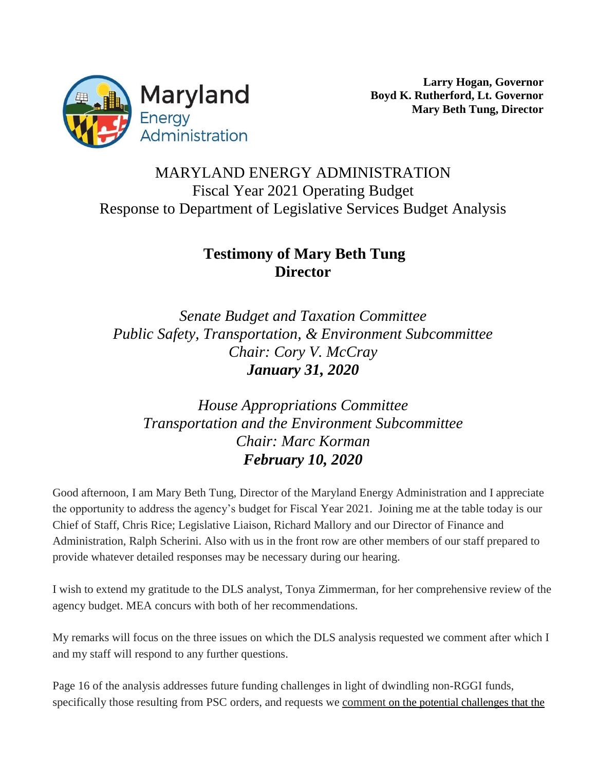

## MARYLAND ENERGY ADMINISTRATION Fiscal Year 2021 Operating Budget Response to Department of Legislative Services Budget Analysis

## **Testimony of Mary Beth Tung Director**

*Senate Budget and Taxation Committee Public Safety, Transportation, & Environment Subcommittee Chair: Cory V. McCray January 31, 2020*

*House Appropriations Committee Transportation and the Environment Subcommittee Chair: Marc Korman February 10, 2020*

Good afternoon, I am Mary Beth Tung, Director of the Maryland Energy Administration and I appreciate the opportunity to address the agency's budget for Fiscal Year 2021. Joining me at the table today is our Chief of Staff, Chris Rice; Legislative Liaison, Richard Mallory and our Director of Finance and Administration, Ralph Scherini. Also with us in the front row are other members of our staff prepared to provide whatever detailed responses may be necessary during our hearing.

I wish to extend my gratitude to the DLS analyst, Tonya Zimmerman, for her comprehensive review of the agency budget. MEA concurs with both of her recommendations.

My remarks will focus on the three issues on which the DLS analysis requested we comment after which I and my staff will respond to any further questions.

Page 16 of the analysis addresses future funding challenges in light of dwindling non-RGGI funds, specifically those resulting from PSC orders, and requests we comment on the potential challenges that the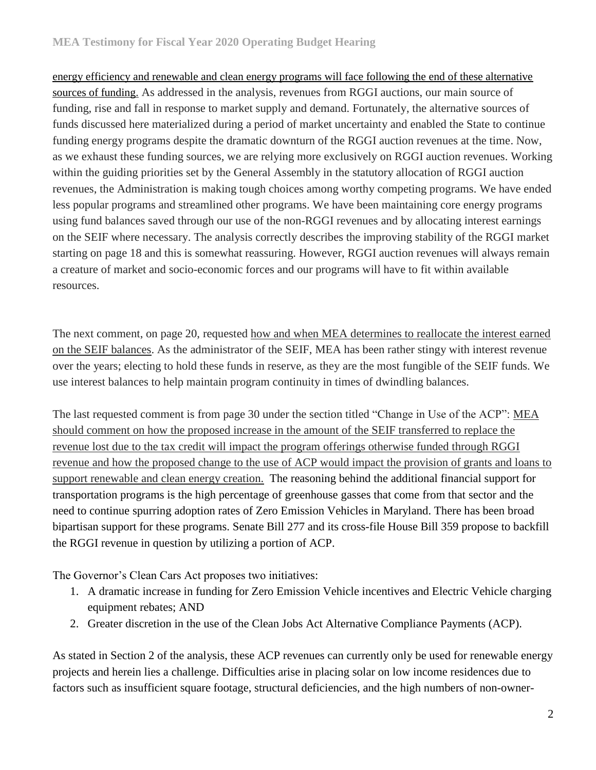energy efficiency and renewable and clean energy programs will face following the end of these alternative sources of funding. As addressed in the analysis, revenues from RGGI auctions, our main source of funding, rise and fall in response to market supply and demand. Fortunately, the alternative sources of funds discussed here materialized during a period of market uncertainty and enabled the State to continue funding energy programs despite the dramatic downturn of the RGGI auction revenues at the time. Now, as we exhaust these funding sources, we are relying more exclusively on RGGI auction revenues. Working within the guiding priorities set by the General Assembly in the statutory allocation of RGGI auction revenues, the Administration is making tough choices among worthy competing programs. We have ended less popular programs and streamlined other programs. We have been maintaining core energy programs using fund balances saved through our use of the non-RGGI revenues and by allocating interest earnings on the SEIF where necessary. The analysis correctly describes the improving stability of the RGGI market starting on page 18 and this is somewhat reassuring. However, RGGI auction revenues will always remain a creature of market and socio-economic forces and our programs will have to fit within available resources.

The next comment, on page 20, requested how and when MEA determines to reallocate the interest earned on the SEIF balances. As the administrator of the SEIF, MEA has been rather stingy with interest revenue over the years; electing to hold these funds in reserve, as they are the most fungible of the SEIF funds. We use interest balances to help maintain program continuity in times of dwindling balances.

The last requested comment is from page 30 under the section titled "Change in Use of the ACP": MEA should comment on how the proposed increase in the amount of the SEIF transferred to replace the revenue lost due to the tax credit will impact the program offerings otherwise funded through RGGI revenue and how the proposed change to the use of ACP would impact the provision of grants and loans to support renewable and clean energy creation. The reasoning behind the additional financial support for transportation programs is the high percentage of greenhouse gasses that come from that sector and the need to continue spurring adoption rates of Zero Emission Vehicles in Maryland. There has been broad bipartisan support for these programs. Senate Bill 277 and its cross-file House Bill 359 propose to backfill the RGGI revenue in question by utilizing a portion of ACP.

The Governor's Clean Cars Act proposes two initiatives:

- 1. A dramatic increase in funding for Zero Emission Vehicle incentives and Electric Vehicle charging equipment rebates; AND
- 2. Greater discretion in the use of the Clean Jobs Act Alternative Compliance Payments (ACP).

As stated in Section 2 of the analysis, these ACP revenues can currently only be used for renewable energy projects and herein lies a challenge. Difficulties arise in placing solar on low income residences due to factors such as insufficient square footage, structural deficiencies, and the high numbers of non-owner